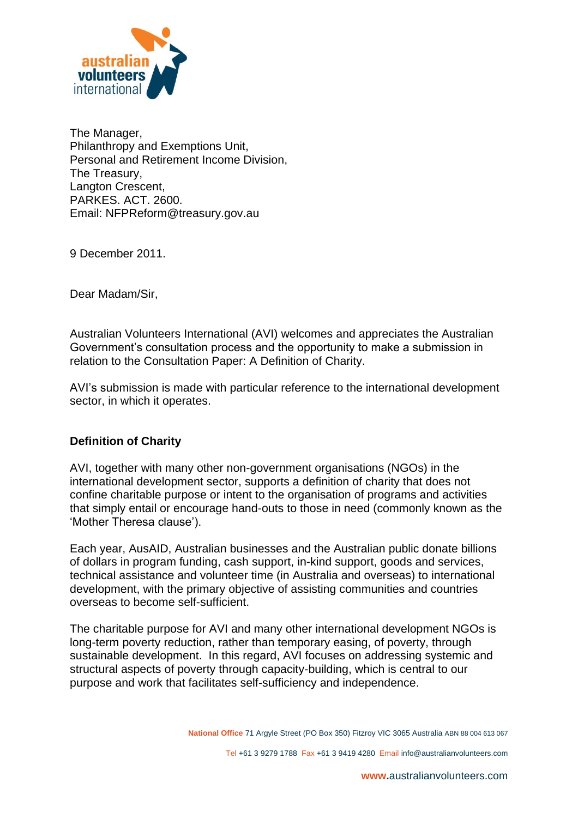

The Manager, Philanthropy and Exemptions Unit, Personal and Retirement Income Division, The Treasury, Langton Crescent, PARKES. ACT. 2600. Email: NFPReform@treasury.gov.au

9 December 2011.

Dear Madam/Sir,

Australian Volunteers International (AVI) welcomes and appreciates the Australian Government's consultation process and the opportunity to make a submission in relation to the Consultation Paper: A Definition of Charity.

AVI's submission is made with particular reference to the international development sector, in which it operates.

## **Definition of Charity**

AVI, together with many other non-government organisations (NGOs) in the international development sector, supports a definition of charity that does not confine charitable purpose or intent to the organisation of programs and activities that simply entail or encourage hand-outs to those in need (commonly known as the 'Mother Theresa clause').

Each year, AusAID, Australian businesses and the Australian public donate billions of dollars in program funding, cash support, in-kind support, goods and services, technical assistance and volunteer time (in Australia and overseas) to international development, with the primary objective of assisting communities and countries overseas to become self-sufficient.

The charitable purpose for AVI and many other international development NGOs is long-term poverty reduction, rather than temporary easing, of poverty, through sustainable development. In this regard, AVI focuses on addressing systemic and structural aspects of poverty through capacity-building, which is central to our purpose and work that facilitates self-sufficiency and independence.

**National Office** 71 Argyle Street (PO Box 350) Fitzroy VIC 3065 Australia ABN 88 004 613 067

Tel +61 3 9279 1788 Fax +61 3 9419 4280 Email info@australianvolunteers.com